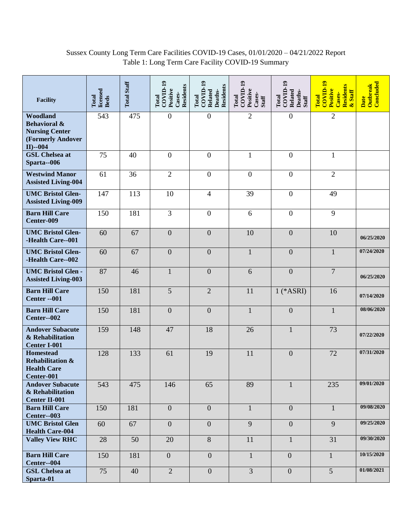## Sussex County Long Term Care Facilities COVID-19 Cases, 01/01/2020 – 04/21/2022 Report Table 1: Long Term Care Facility COVID-19 Summary

| <b>Facility</b>                                                                                  | licensed<br>Total<br><b>Beds</b> | <b>Total Staff</b> | $COVID-19$<br>Residents<br>Positive<br>Cases-<br>Total | $COVID-19$<br><b>Residents</b><br>Related<br>Deaths-<br>Total | COVID-19<br>Positive<br>Cases-<br>Total<br>Staff | $\mathrm{COVID}\text{-}19$<br>Related<br>Deaths-<br>Total<br>Staff | $\overline{\mathrm{COD}}$ -19<br>Residents<br>Positive<br>& Staff<br>Cases-<br>Total | Concluded<br><b>Outbreak</b><br>Date |
|--------------------------------------------------------------------------------------------------|----------------------------------|--------------------|--------------------------------------------------------|---------------------------------------------------------------|--------------------------------------------------|--------------------------------------------------------------------|--------------------------------------------------------------------------------------|--------------------------------------|
| Woodland<br><b>Behavioral &amp;</b><br><b>Nursing Center</b><br>(Formerly Andover<br>$II$ )--004 | 543                              | 475                | $\boldsymbol{0}$                                       | $\boldsymbol{0}$                                              | $\overline{2}$                                   | $\boldsymbol{0}$                                                   | $\overline{2}$                                                                       |                                      |
| <b>GSL</b> Chelsea at<br>Sparta--006                                                             | 75                               | 40                 | $\boldsymbol{0}$                                       | $\boldsymbol{0}$                                              | $\mathbf{1}$                                     | $\mathbf{0}$                                                       | $\mathbf{1}$                                                                         |                                      |
| <b>Westwind Manor</b><br><b>Assisted Living-004</b>                                              | 61                               | 36                 | $\overline{2}$                                         | $\overline{0}$                                                | $\boldsymbol{0}$                                 | $\overline{0}$                                                     | $\overline{2}$                                                                       |                                      |
| <b>UMC Bristol Glen-</b><br><b>Assisted Living-009</b>                                           | 147                              | 113                | 10                                                     | $\overline{\mathcal{A}}$                                      | 39                                               | $\boldsymbol{0}$                                                   | 49                                                                                   |                                      |
| <b>Barn Hill Care</b><br>Center-009                                                              | 150                              | 181                | 3                                                      | $\overline{0}$                                                | 6                                                | $\overline{0}$                                                     | 9                                                                                    |                                      |
| <b>UMC Bristol Glen-</b><br>-Health Care--001                                                    | 60                               | 67                 | $\boldsymbol{0}$                                       | $\boldsymbol{0}$                                              | 10                                               | $\boldsymbol{0}$                                                   | 10                                                                                   | 06/25/2020                           |
| <b>UMC Bristol Glen-</b><br>-Health Care--002                                                    | 60                               | 67                 | $\boldsymbol{0}$                                       | $\boldsymbol{0}$                                              | $\mathbf{1}$                                     | $\overline{0}$                                                     | $\mathbf{1}$                                                                         | 07/24/2020                           |
| <b>UMC Bristol Glen -</b><br><b>Assisted Living-003</b>                                          | 87                               | 46                 | $\mathbf{1}$                                           | $\overline{0}$                                                | 6                                                | $\mathbf{0}$                                                       | $\overline{7}$                                                                       | 06/25/2020                           |
| <b>Barn Hill Care</b><br><b>Center -- 001</b>                                                    | 150                              | 181                | 5                                                      | $\overline{2}$                                                | 11                                               | $1$ (*ASRI)                                                        | 16                                                                                   | 07/14/2020                           |
| <b>Barn Hill Care</b><br>Center--002                                                             | 150                              | 181                | $\overline{0}$                                         | $\overline{0}$                                                | $\mathbf{1}$                                     | $\overline{0}$                                                     | $\mathbf{1}$                                                                         | 08/06/2020                           |
| <b>Andover Subacute</b><br>& Rehabilitation<br><b>Center I-001</b>                               | 159                              | 148                | 47                                                     | 18                                                            | 26                                               | $\mathbf{1}$                                                       | 73                                                                                   | 07/22/2020                           |
| <b>Homestead</b><br><b>Rehabilitation &amp;</b><br><b>Health Care</b><br>Center-001              | 128                              | 133                | 61                                                     | 19                                                            | 11                                               | $\boldsymbol{0}$                                                   | 72                                                                                   | 07/31/2020                           |
| <b>Andover Subacute</b><br>& Rehabilitation<br><b>Center II-001</b>                              | 543                              | 475                | 146                                                    | 65                                                            | 89                                               | $\mathbf{1}$                                                       | 235                                                                                  | 09/01/2020                           |
| <b>Barn Hill Care</b><br>Center--003                                                             | 150                              | 181                | $\boldsymbol{0}$                                       | $\boldsymbol{0}$                                              | $\mathbf{1}$                                     | $\overline{0}$                                                     | $\mathbf{1}$                                                                         | 09/08/2020                           |
| <b>UMC Bristol Glen</b><br><b>Health Care-004</b>                                                | 60                               | 67                 | $\overline{0}$                                         | $\overline{0}$                                                | 9                                                | $\overline{0}$                                                     | $\overline{9}$                                                                       | 09/25/2020                           |
| <b>Valley View RHC</b>                                                                           | 28                               | 50                 | 20                                                     | 8                                                             | 11                                               | $\mathbf{1}$                                                       | 31                                                                                   | 09/30/2020                           |
| <b>Barn Hill Care</b><br>Center--004                                                             | 150                              | 181                | $\overline{0}$                                         | $\overline{0}$                                                | $\mathbf{1}$                                     | $\overline{0}$                                                     | $\mathbf{1}$                                                                         | 10/15/2020                           |
| <b>GSL Chelsea at</b><br>Sparta-01                                                               | 75                               | 40                 | $\overline{2}$                                         | $\overline{0}$                                                | $\overline{3}$                                   | $\overline{0}$                                                     | $\overline{5}$                                                                       | 01/08/2021                           |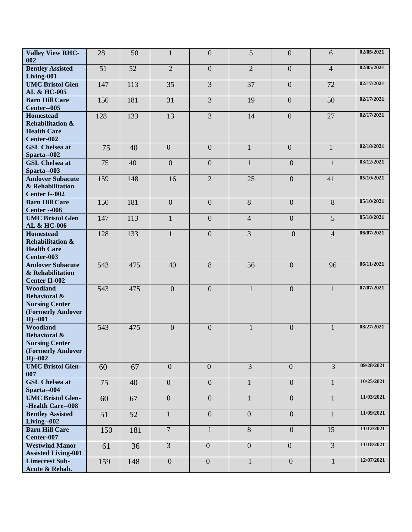| <b>Valley View RHC-</b>                                                                          | 28  | 50  | $\mathbf{1}$     | $\overline{0}$   | $5\overline{)}$ | $\mathbf{0}$     | 6              | 02/05/2021 |
|--------------------------------------------------------------------------------------------------|-----|-----|------------------|------------------|-----------------|------------------|----------------|------------|
| 002<br><b>Bentley Assisted</b>                                                                   | 51  | 52  | $\overline{2}$   | $\overline{0}$   | $\overline{2}$  | $\mathbf{0}$     | $\overline{4}$ | 02/05/2021 |
| Living-001                                                                                       |     |     |                  |                  |                 |                  |                |            |
| <b>UMC Bristol Glen</b><br>AL & HC-005                                                           | 147 | 113 | 35               | 3                | 37              | $\mathbf{0}$     | 72             | 02/17/2021 |
| <b>Barn Hill Care</b><br>Center--005                                                             | 150 | 181 | 31               | 3                | 19              | $\mathbf{0}$     | 50             | 02/17/2021 |
| <b>Homestead</b>                                                                                 | 128 | 133 | 13               | 3                | 14              | $\mathbf{0}$     | 27             | 02/17/2021 |
| <b>Rehabilitation &amp;</b><br><b>Health Care</b><br>Center-002                                  |     |     |                  |                  |                 |                  |                |            |
| <b>GSL Chelsea at</b><br>Sparta--002                                                             | 75  | 40  | $\overline{0}$   | $\overline{0}$   | $\mathbf{1}$    | $\mathbf{0}$     | $\mathbf{1}$   | 02/18/2021 |
| <b>GSL Chelsea at</b><br>Sparta--003                                                             | 75  | 40  | $\overline{0}$   | $\overline{0}$   | $\mathbf{1}$    | $\overline{0}$   | $\mathbf{1}$   | 03/12/2021 |
| <b>Andover Subacute</b><br>& Rehabilitation<br>Center I--002                                     | 159 | 148 | 16               | $\overline{2}$   | 25              | $\overline{0}$   | 41             | 05/10/2021 |
| <b>Barn Hill Care</b><br><b>Center -- 006</b>                                                    | 150 | 181 | $\boldsymbol{0}$ | $\boldsymbol{0}$ | 8               | $\overline{0}$   | $8\,$          | 05/10/2021 |
| <b>UMC Bristol Glen</b><br>AL & HC-006                                                           | 147 | 113 | $\mathbf{1}$     | $\overline{0}$   | $\overline{4}$  | $\overline{0}$   | 5              | 05/18/2021 |
| <b>Homestead</b><br><b>Rehabilitation &amp;</b>                                                  | 128 | 133 | $\mathbf{1}$     | $\overline{0}$   | 3               | $\overline{0}$   | $\overline{4}$ | 06/07/2021 |
| <b>Health Care</b><br>Center-003                                                                 |     |     |                  |                  |                 |                  |                |            |
| <b>Andover Subacute</b><br>& Rehabilitation<br><b>Center II-002</b>                              | 543 | 475 | 40               | 8                | 56              | $\overline{0}$   | 96             | 06/11/2021 |
| Woodland<br><b>Behavioral &amp;</b><br><b>Nursing Center</b><br>(Formerly Andover<br>$II$ )--001 | 543 | 475 | $\overline{0}$   | $\overline{0}$   | $\mathbf{1}$    | $\overline{0}$   | $\mathbf{1}$   | 07/07/2021 |
| Woodland<br><b>Behavioral &amp;</b><br><b>Nursing Center</b><br>(Formerly Andover<br>$II$ )--002 | 543 | 475 | $\boldsymbol{0}$ | $\boldsymbol{0}$ | $\mathbf{1}$    | $\boldsymbol{0}$ | $\mathbf{1}$   | 08/27/2021 |
| <b>UMC Bristol Glen-</b><br>007                                                                  | 60  | 67  | $\overline{0}$   | $\overline{0}$   | $\overline{3}$  | $\overline{0}$   | $\overline{3}$ | 09/28/2021 |
| <b>GSL</b> Chelsea at<br>Sparta--004                                                             | 75  | 40  | $\overline{0}$   | $\boldsymbol{0}$ | $\mathbf{1}$    | $\overline{0}$   | 1              | 10/25/2021 |
| <b>UMC Bristol Glen-</b><br>-Health Care--008                                                    | 60  | 67  | $\overline{0}$   | $\boldsymbol{0}$ | $\mathbf{1}$    | $\overline{0}$   | $\mathbf{1}$   | 11/03/2021 |
| <b>Bentley Assisted</b><br>Living--002                                                           | 51  | 52  | $\mathbf{1}$     | $\overline{0}$   | $\overline{0}$  | $\overline{0}$   | $\mathbf{1}$   | 11/09/2021 |
| <b>Barn Hill Care</b><br>Center-007                                                              | 150 | 181 | $\overline{7}$   | $\mathbf{1}$     | 8               | $\overline{0}$   | 15             | 11/12/2021 |
| <b>Westwind Manor</b><br><b>Assisted Living-001</b>                                              | 61  | 36  | $\overline{3}$   | $\overline{0}$   | $\overline{0}$  | $\mathbf{0}$     | $\overline{3}$ | 11/18/2021 |
| <b>Limecrest Sub-</b><br>Acute & Rehab.                                                          | 159 | 148 | $\overline{0}$   | $\overline{0}$   | $\mathbf{1}$    | $\overline{0}$   | $\mathbf{1}$   | 12/07/2021 |